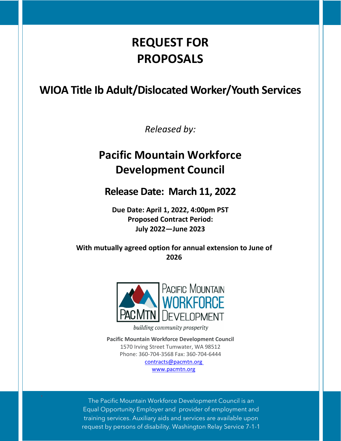# **REQUEST FOR PROPOSALS**

# <span id="page-0-0"></span>**WIOA Title Ib Adult/Dislocated Worker/Youth Services**

*Released by:*

# **Pacific Mountain Workforce Development Council**

**Release Date: March 11, 2022**

**Due Date: April 1, 2022, 4:00pm PST Proposed Contract Period: July 2022—June 2023**

**With mutually agreed option for annual extension to June of 2026**



building community prosperity

**Pacific Mountain Workforce Development Council** 1570 Irving Street Tumwater, WA 98512 Phone: 360-704-3568 Fax: 360-704-6444 [contracts@pacmtn.org](mailto:contracts@pacmtn.org) [www.pacmtn.org](http://www.pacmtn.org/)

The Pacific Mountain Workforce Development Council is an Equal Opportunity Employer and provider of employment and training services. Auxiliary aids and services are available upon request by persons of disability. Washington Relay Service 7-1-1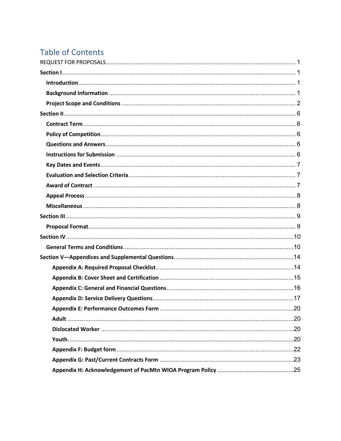# **Table of Contents**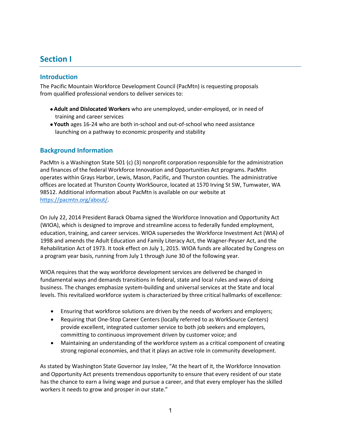# <span id="page-2-0"></span>**Section I**

# <span id="page-2-1"></span>**Introduction**

The Pacific Mountain Workforce Development Council (PacMtn) is requesting proposals from qualified professional vendors to deliver services to:

- **Adult and Dislocated Workers** who are unemployed, under-employed, or in need of training and career services
- **Youth** ages 16-24 who are both in-school and out-of-school who need assistance launching on a pathway to economic prosperity and stability

# <span id="page-2-2"></span>**Background Information**

PacMtn is a Washington State 501 (c) (3) nonprofit corporation responsible for the administration and finances of the federal Workforce Innovation and Opportunities Act programs. PacMtn operates within Grays Harbor, Lewis, Mason, Pacific, and Thurston counties. The administrative offices are located at Thurston County WorkSource, located at 1570 Irving St SW, Tumwater, WA 98512. Additional information about PacMtn is available on our website at [https://pacmtn.org/about/.](https://pacmtn.org/about/)

On July 22, 2014 President Barack Obama signed the Workforce Innovation and Opportunity Act (WIOA), which is designed to improve and streamline access to federally funded employment, education, training, and career services. WIOA supersedes the Workforce Investment Act (WIA) of 1998 and amends the Adult Education and Family Literacy Act, the Wagner-Peyser Act, and the Rehabilitation Act of 1973. It took effect on July 1, 2015. WIOA funds are allocated by Congress on a program year basis, running from July 1 through June 30 of the following year.

WIOA requires that the way workforce development services are delivered be changed in fundamental ways and demands transitions in federal, state and local rules and ways of doing business. The changes emphasize system-building and universal services at the State and local levels. This revitalized workforce system is characterized by three critical hallmarks of excellence:

- Ensuring that workforce solutions are driven by the needs of workers and employers;
- Requiring that One-Stop Career Centers (locally referred to as WorkSource Centers) provide excellent, integrated customer service to both job seekers and employers, committing to continuous improvement driven by customer voice; and
- Maintaining an understanding of the workforce system as a critical component of creating strong regional economies, and that it plays an active role in community development.

As stated by Washington State Governor Jay Inslee, "At the heart of it, the Workforce Innovation and Opportunity Act presents tremendous opportunity to ensure that every resident of our state has the chance to earn a living wage and pursue a career, and that every employer has the skilled workers it needs to grow and prosper in our state."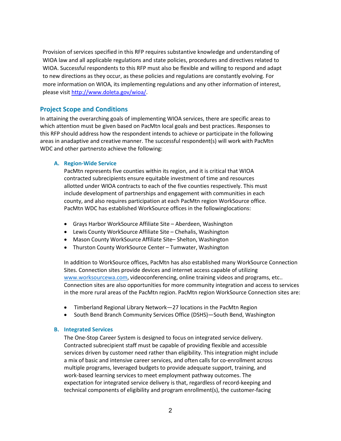Provision of services specified in this RFP requires substantive knowledge and understanding of WIOA law and all applicable regulations and state policies, procedures and directives related to WIOA. Successful respondents to this RFP must also be flexible and willing to respond and adapt to new directions as they occur, as these policies and regulations are constantly evolving. For more information on WIOA, its implementing regulations and any other information of interest, please visit [http://www.doleta.gov/wioa/.](http://www.doleta.gov/wioa/)

# <span id="page-3-0"></span>**Project Scope and Conditions**

In attaining the overarching goals of implementing WIOA services, there are specific areas to which attention must be given based on PacMtn local goals and best practices. Responses to this RFP should address how the respondent intends to achieve or participate in the following areas in anadaptive and creative manner. The successful respondent(s) will work with PacMtn WDC and other partnersto achieve the following:

#### **A. Region-Wide Service**

PacMtn represents five counties within its region, and it is critical that WIOA contracted subrecipients ensure equitable investment of time and resources allotted under WIOA contracts to each of the five counties respectively. This must include development of partnerships and engagement with communities in each county, and also requires participation at each PacMtn region WorkSource office. PacMtn WDC has established WorkSource offices in the followinglocations:

- Grays Harbor WorkSource Affiliate Site Aberdeen, Washington
- Lewis County WorkSource Affiliate Site Chehalis, Washington
- Mason County WorkSource Affiliate Site– Shelton, Washington
- Thurston County WorkSource Center Tumwater, Washington

In addition to WorkSource offices, PacMtn has also established many WorkSource Connection Sites. Connection sites provide devices and internet access capable of utilizing [www.worksourcewa.com,](http://www.worksourcewa.com/) videoconferencing, online training videos and programs, etc.. Connection sites are also opportunities for more community integration and access to services in the more rural areas of the PacMtn region. PacMtn region WorkSource Connection sites are:

- Timberland Regional Library Network—27 locations in the PacMtn Region
- South Bend Branch Community Services Office (DSHS)—South Bend, Washington

#### **B. Integrated Services**

The One-Stop Career System is designed to focus on integrated service delivery. Contracted subrecipient staff must be capable of providing flexible and accessible services driven by customer need rather than eligibility. This integration might include a mix of basic and intensive career services, and often calls for co-enrollment across multiple programs, leveraged budgets to provide adequate support, training, and work-based learning services to meet employment pathway outcomes. The expectation for integrated service delivery is that, regardless of record-keeping and technical components of eligibility and program enrollment(s), the customer-facing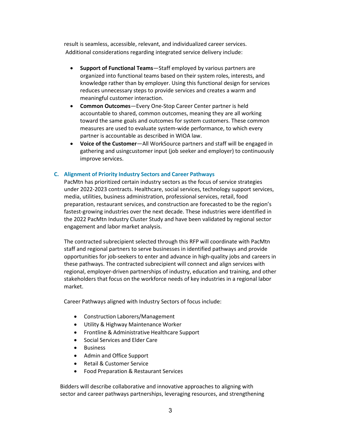result is seamless, accessible, relevant, and individualized career services. Additional considerations regarding integrated service delivery include:

- **Support of Functional Teams**—Staff employed by various partners are organized into functional teams based on their system roles, interests, and knowledge rather than by employer. Using this functional design for services reduces unnecessary steps to provide services and creates a warm and meaningful customer interaction.
- **Common Outcomes**—Every One-Stop Career Center partner is held accountable to shared, common outcomes, meaning they are all working toward the same goals and outcomes for system customers. These common measures are used to evaluate system-wide performance, to which every partner is accountable as described in WIOA law.
- **Voice of the Customer**—All WorkSource partners and staff will be engaged in gathering and usingcustomer input (job seeker and employer) to continuously improve services.

#### **C. Alignment of Priority Industry Sectors and Career Pathways**

PacMtn has prioritized certain industry sectors as the focus of service strategies under 2022-2023 contracts. Healthcare, social services, technology support services, media, utilities, business administration, professional services, retail, food preparation, restaurant services, and construction are forecasted to be the region's fastest-growing industries over the next decade. These industries were identified in the 2022 PacMtn Industry Cluster Study and have been validated by regional sector engagement and labor market analysis.

The contracted subrecipient selected through this RFP will coordinate with PacMtn staff and regional partners to serve businesses in identified pathways and provide opportunities for job-seekers to enter and advance in high-quality jobs and careers in these pathways. The contracted subrecipient will connect and align services with regional, employer-driven partnerships of industry, education and training, and other stakeholders that focus on the workforce needs of key industries in a regional labor market.

Career Pathways aligned with Industry Sectors of focus include:

- Construction Laborers/Management
- Utility & Highway Maintenance Worker
- Frontline & Administrative Healthcare Support
- Social Services and Elder Care
- Business
- Admin and Office Support
- Retail & Customer Service
- Food Preparation & Restaurant Services

Bidders will describe collaborative and innovative approaches to aligning with sector and career pathways partnerships, leveraging resources, and strengthening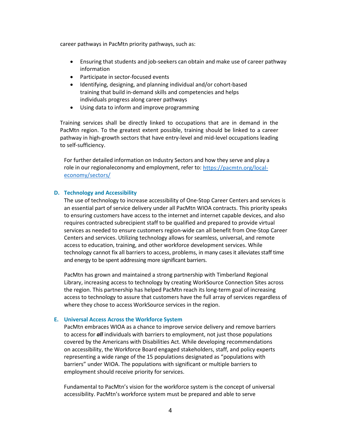career pathways in PacMtn priority pathways, such as:

- Ensuring that students and job-seekers can obtain and make use of career pathway information
- Participate in sector-focused events
- Identifying, designing, and planning individual and/or cohort-based training that build in-demand skills and competencies and helps individuals progress along career pathways
- Using data to inform and improve programming

Training services shall be directly linked to occupations that are in demand in the PacMtn region. To the greatest extent possible, training should be linked to a career pathway in high-growth sectors that have entry-level and mid-level occupations leading to self-sufficiency.

For further detailed information on Industry Sectors and how they serve and play a role in our regionaleconomy and employment, refer to: [https://pacmtn.org/local](https://pacmtn.org/local-economy/sectors/)[economy/sectors/](https://pacmtn.org/local-economy/sectors/)

#### **D. Technology and Accessibility**

The use of technology to increase accessibility of One-Stop Career Centers and services is an essential part of service delivery under all PacMtn WIOA contracts. This priority speaks to ensuring customers have access to the internet and internet capable devices, and also requires contracted subrecipient staff to be qualified and prepared to provide virtual services as needed to ensure customers region-wide can all benefit from One-Stop Career Centers and services. Utilizing technology allows for seamless, universal, and remote access to education, training, and other workforce development services. While technology cannot fix all barriers to access, problems, in many cases it alleviates staff time and energy to be spent addressing more significant barriers.

PacMtn has grown and maintained a strong partnership with Timberland Regional Library, increasing access to technology by creating WorkSource Connection Sites across the region. This partnership has helped PacMtn reach its long-term goal of increasing access to technology to assure that customers have the full array of services regardless of where they chose to access WorkSource services in the region.

#### **E. Universal Access Across the Workforce System**

PacMtn embraces WIOA as a chance to improve service delivery and remove barriers to access for *all* individuals with barriers to employment, not just those populations covered by the Americans with Disabilities Act. While developing recommendations on accessibility, the Workforce Board engaged stakeholders, staff, and policy experts representing a wide range of the 15 populations designated as "populations with barriers" under WIOA. The populations with significant or multiple barriers to employment should receive priority for services.

Fundamental to PacMtn's vision for the workforce system is the concept of universal accessibility. PacMtn's workforce system must be prepared and able to serve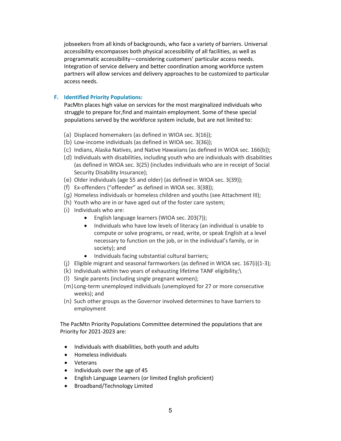jobseekers from all kinds of backgrounds, who face a variety of barriers. Universal accessibility encompasses both physical accessibility of all facilities, as well as programmatic accessibility—considering customers' particular access needs. Integration of service delivery and better coordination among workforce system partners will allow services and delivery approaches to be customized to particular access needs.

### **F. Identified Priority Populations:**

PacMtn places high value on services for the most marginalized individuals who struggle to prepare for,find and maintain employment. Some of these special populations served by the workforce system include, but are not limited to:

- (a) Displaced homemakers (as defined in WIOA sec. 3(16));
- (b) Low-income individuals (as defined in WIOA sec. 3(36));
- (c) Indians, Alaska Natives, and Native Hawaiians (as defined in WIOA sec. 166(b));
- (d) Individuals with disabilities, including youth who are individuals with disabilities (as defined in WIOA sec. 3(25) (includes individuals who are in receipt of Social Security Disability Insurance);
- (e) Older individuals (age 55 and older) (as defined in WIOA sec. 3(39));
- (f) Ex-offenders ("offender" as defined in WIOA sec. 3(38));
- (g) Homeless individuals or homeless children and youths (see Attachment III);
- (h) Youth who are in or have aged out of the foster care system;
- (i) Individuals who are:
	- English language learners (WIOA sec. 203(7));
	- Individuals who have low levels of literacy (an individual is unable to compute or solve programs, or read, write, or speak English at a level necessary to function on the job, or in the individual's family, or in society); and
	- Individuals facing substantial cultural barriers;
- (j) Eligible migrant and seasonal farmworkers (as defined in WIOA sec. 167(i)(1-3);
- (k) Individuals within two years of exhausting lifetime TANF eligibility;\
- (l) Single parents (including single pregnant women);
- (m) Long-term unemployed individuals (unemployed for 27 or more consecutive weeks); and
- (n) Such other groups as the Governor involved determines to have barriers to employment

The PacMtn Priority Populations Committee determined the populations that are Priority for 2021-2023 are:

- Individuals with disabilities, both youth and adults
- Homeless individuals
- Veterans
- Individuals over the age of 45
- English Language Learners (or limited English proficient)
- Broadband/Technology Limited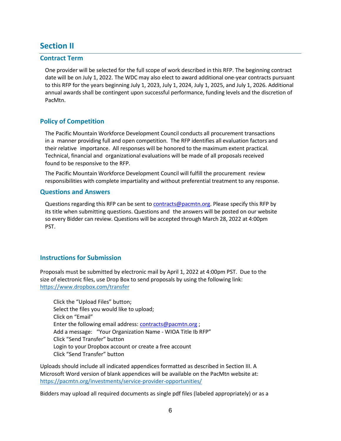# <span id="page-7-0"></span>**Section II**

### <span id="page-7-1"></span>**Contract Term**

One provider will be selected for the full scope of work described in this RFP. The beginning contract date will be on July 1, 2022. The WDC may also elect to award additional one-year contracts pursuant to this RFP for the years beginning July 1, 2023, July 1, 2024, July 1, 2025, and July 1, 2026. Additional annual awards shall be contingent upon successful performance, funding levels and the discretion of PacMtn.

# <span id="page-7-2"></span>**Policy of Competition**

The Pacific Mountain Workforce Development Council conducts all procurement transactions in a manner providing full and open competition. The RFP identifies all evaluation factors and their relative importance. All responses will be honored to the maximum extent practical. Technical, financial and organizational evaluations will be made of all proposals received found to be responsive to the RFP.

The Pacific Mountain Workforce Development Council will fulfill the procurement review responsibilities with complete impartiality and without preferential treatment to any response.

#### <span id="page-7-3"></span>**Questions and Answers**

Questions regarding this RFP can be sent to [contracts@pacmtn.org.](mailto:contracts@pacmtn.org) Please specify this RFP by its title when submitting questions. Questions and the answers will be posted on our website so every Bidder can review. Questions will be accepted through March 28, 2022 at 4:00pm PST.

# <span id="page-7-4"></span>**Instructions for Submission**

Proposals must be submitted by electronic mail by April 1, 2022 at 4:00pm PST. Due to the size of electronic files, use Drop Box to send proposals by using the following link: <https://www.dropbox.com/transfer>

Click the "Upload Files" button; Select the files you would like to upload; Click on "Email" Enter the following email address: [contracts@pacmtn.org](mailto:contracts@pacmtn.org) ; Add a message: "Your Organization Name - WIOA Title Ib RFP" Click "Send Transfer" button Login to your Dropbox account or create a free account Click "Send Transfer" button

Uploads should include all indicated appendices formatted as described in Section III. A Microsoft Word version of blank appendices will be available on the PacMtn website at: <https://pacmtn.org/investments/service-provider-opportunities/>

Bidders may upload all required documents as single pdf files (labeled appropriately) or as a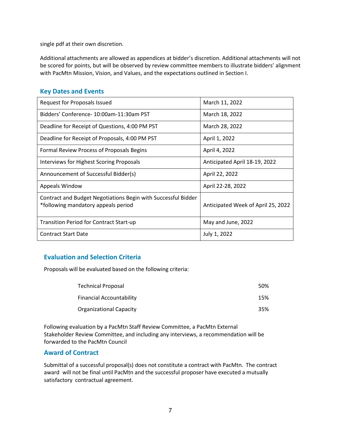single pdf at their own discretion.

Additional attachments are allowed as appendices at bidder's discretion. Additional attachments will not be scored for points, but will be observed by review committee members to illustrate bidders' alignment with PacMtn Mission, Vision, and Values, and the expectations outlined in Section I.

# <span id="page-8-0"></span>**Key Dates and Events**

| Request for Proposals Issued                                                                         | March 11, 2022                     |
|------------------------------------------------------------------------------------------------------|------------------------------------|
| Bidders' Conference-10:00am-11:30am PST                                                              | March 18, 2022                     |
| Deadline for Receipt of Questions, 4:00 PM PST                                                       | March 28, 2022                     |
| Deadline for Receipt of Proposals, 4:00 PM PST                                                       | April 1, 2022                      |
| Formal Review Process of Proposals Begins                                                            | April 4, 2022                      |
| Interviews for Highest Scoring Proposals                                                             | Anticipated April 18-19, 2022      |
| Announcement of Successful Bidder(s)                                                                 | April 22, 2022                     |
| Appeals Window                                                                                       | April 22-28, 2022                  |
| Contract and Budget Negotiations Begin with Successful Bidder<br>*following mandatory appeals period | Anticipated Week of April 25, 2022 |
| <b>Transition Period for Contract Start-up</b>                                                       | May and June, 2022                 |
| <b>Contract Start Date</b>                                                                           | July 1, 2022                       |

# <span id="page-8-1"></span>**Evaluation and Selection Criteria**

Proposals will be evaluated based on the following criteria:

| <b>Technical Proposal</b>       | 50% |
|---------------------------------|-----|
| <b>Financial Accountability</b> | 15% |
| <b>Organizational Capacity</b>  | 35% |

Following evaluation by a PacMtn Staff Review Committee, a PacMtn External Stakeholder Review Committee, and including any interviews, a recommendation will be forwarded to the PacMtn Council

# <span id="page-8-2"></span>**Award of Contract**

Submittal of a successful proposal(s) does not constitute a contract with PacMtn. The contract award will not be final until PacMtn and the successful proposer have executed a mutually satisfactory contractual agreement.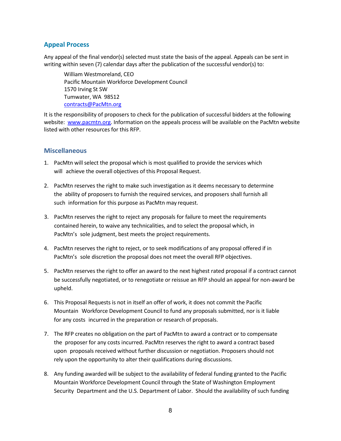# <span id="page-9-0"></span>**Appeal Process**

Any appeal of the final vendor(s) selected must state the basis of the appeal. Appeals can be sent in writing within seven (7) calendar days after the publication of the successful vendor(s) to:

William Westmoreland, CEO Pacific Mountain Workforce Development Council 1570 Irving St SW Tumwater, WA 98512 [contracts@PacMtn.org](mailto:contracts@PacMtn.org)

It is the responsibility of proposers to check for the publication of successful bidders at the following website: [www.pacmtn.org.](http://www.pacmtn.org/) Information on the appeals process will be available on the PacMtn website listed with other resources for this RFP.

### <span id="page-9-1"></span>**Miscellaneous**

- 1. PacMtn will select the proposal which is most qualified to provide the services which will achieve the overall objectives of this Proposal Request.
- 2. PacMtn reserves the right to make such investigation as it deems necessary to determine the ability of proposers to furnish the required services, and proposers shall furnish all such information for this purpose as PacMtn may request.
- 3. PacMtn reserves the right to reject any proposals for failure to meet the requirements contained herein, to waive any technicalities, and to select the proposal which, in PacMtn's sole judgment, best meets the project requirements.
- 4. PacMtn reserves the right to reject, or to seek modifications of any proposal offered if in PacMtn's sole discretion the proposal does not meet the overall RFP objectives.
- 5. PacMtn reserves the right to offer an award to the next highest rated proposal if a contract cannot be successfully negotiated, or to renegotiate or reissue an RFP should an appeal for non-award be upheld.
- 6. This Proposal Requests is not in itself an offer of work, it does not commit the Pacific Mountain Workforce Development Council to fund any proposals submitted, nor is it liable for any costs incurred in the preparation or research of proposals.
- 7. The RFP creates no obligation on the part of PacMtn to award a contract or to compensate the proposer for any costs incurred. PacMtn reserves the right to award a contract based upon proposals received without further discussion or negotiation. Proposers should not rely upon the opportunity to alter their qualifications during discussions.
- 8. Any funding awarded will be subject to the availability of federal funding granted to the Pacific Mountain Workforce Development Council through the State of Washington Employment Security Department and the U.S. Department of Labor. Should the availability of such funding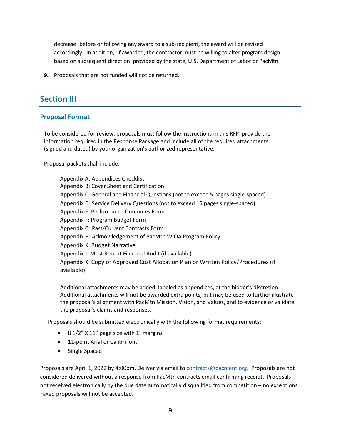decrease before or following any award to a sub-recipient, the award will be revised accordingly. In addition, if awarded, the contractor must be willing to alter program design based on subsequent direction provided by the state, U.S. Department of Labor or PacMtn.

**9.** Proposals that are not funded will not be returned.

# <span id="page-10-0"></span>**Section III**

# <span id="page-10-1"></span>**Proposal Format**

To be considered for review, proposals must follow the instructions in this RFP, provide the information required in the Response Package and include all of the required attachments (signed and dated) by your organization's authorized representative.

Proposal packets shall include:

Appendix A: Appendices Checklist Appendix B: Cover Sheet and Certification Appendix C: General and Financial Questions (not to exceed 5 pages single-spaced) Appendix D: Service Delivery Questions (not to exceed 15 pages single-spaced) Appendix E: Performance Outcomes Form Appendix F: Program Budget Form Appendix G: Past/Current Contracts Form Appendix H: Acknowledgement of PacMtn WIOA Program Policy Appendix K: Budget Narrative Appendix J: Most Recent Financial Audit (if available) Appendix K: Copy of Approved Cost Allocation Plan or Written Policy/Procedures (if available)

Additional attachments may be added, labeled as appendices, at the bidder's discretion. Additional attachments will not be awarded extra points, but may be used to further illustrate the proposal's alignment with PacMtn Mission, Vision, and Values, and to evidence or validate the proposal's claims and responses.

Proposals should be submitted electronically with the following format requirements:

- 8 1/2" X 11" page size with 1" margins
- 11-point Arial or Calibri font
- Single Spaced

Proposals are April 1, 2022 by 4:00pm. Deliver via email to [contracts@pacment.org.](mailto:contracts@pacment.org) Proposals are not considered delivered without a response from PacMtn contracts email confirming receipt. Proposals not received electronically by the due date automatically disqualified from competition – no exceptions. Faxed proposals will not be accepted.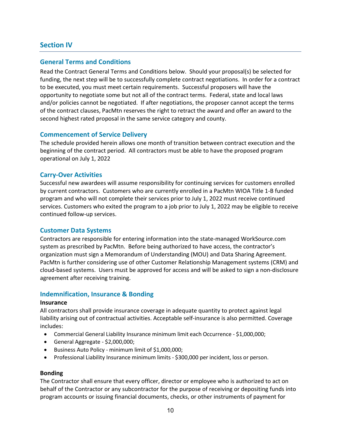# <span id="page-11-0"></span>**Section IV**

# <span id="page-11-1"></span>**General Terms and Conditions**

Read the Contract General Terms and Conditions below. Should your proposal(s) be selected for funding, the next step will be to successfully complete contract negotiations. In order for a contract to be executed, you must meet certain requirements. Successful proposers will have the opportunity to negotiate some but not all of the contract terms. Federal, state and local laws and/or policies cannot be negotiated. If after negotiations, the proposer cannot accept the terms of the contract clauses, PacMtn reserves the right to retract the award and offer an award to the second highest rated proposal in the same service category and county.

# **Commencement of Service Delivery**

The schedule provided herein allows one month of transition between contract execution and the beginning of the contract period. All contractors must be able to have the proposed program operational on July 1, 2022

# **Carry-Over Activities**

Successful new awardees will assume responsibility for continuing services for customers enrolled by current contractors. Customers who are currently enrolled in a PacMtn WIOA Title 1-B funded program and who will not complete their services prior to July 1, 2022 must receive continued services. Customers who exited the program to a job prior to July 1, 2022 may be eligible to receive continued follow-up services.

# **Customer Data Systems**

Contractors are responsible for entering information into the state-managed WorkSource.com system as prescribed by PacMtn. Before being authorized to have access, the contractor's organization must sign a Memorandum of Understanding (MOU) and Data Sharing Agreement. PacMtn is further considering use of other Customer Relationship Management systems (CRM) and cloud-based systems. Users must be approved for access and will be asked to sign a non-disclosure agreement after receiving training.

# **Indemnification, Insurance & Bonding**

#### **Insurance**

All contractors shall provide insurance coverage in adequate quantity to protect against legal liability arising out of contractual activities. Acceptable self-insurance is also permitted. Coverage includes:

- Commercial General Liability Insurance minimum limit each Occurrence \$1,000,000;
- General Aggregate \$2,000,000;
- Business Auto Policy minimum limit of \$1,000,000;
- Professional Liability Insurance minimum limits \$300,000 per incident, loss or person.

#### **Bonding**

The Contractor shall ensure that every officer, director or employee who is authorized to act on behalf of the Contractor or any subcontractor for the purpose of receiving or depositing funds into program accounts or issuing financial documents, checks, or other instruments of payment for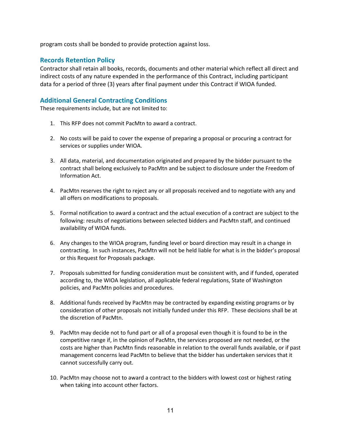program costs shall be bonded to provide protection against loss.

# **Records Retention Policy**

Contractor shall retain all books, records, documents and other material which reflect all direct and indirect costs of any nature expended in the performance of this Contract, including participant data for a period of three (3) years after final payment under this Contract if WIOA funded.

# **Additional General Contracting Conditions**

These requirements include, but are not limited to:

- 1. This RFP does not commit PacMtn to award a contract.
- 2. No costs will be paid to cover the expense of preparing a proposal or procuring a contract for services or supplies under WIOA.
- 3. All data, material, and documentation originated and prepared by the bidder pursuant to the contract shall belong exclusively to PacMtn and be subject to disclosure under the Freedom of Information Act.
- 4. PacMtn reserves the right to reject any or all proposals received and to negotiate with any and all offers on modifications to proposals.
- 5. Formal notification to award a contract and the actual execution of a contract are subject to the following: results of negotiations between selected bidders and PacMtn staff, and continued availability of WIOA funds.
- 6. Any changes to the WIOA program, funding level or board direction may result in a change in contracting. In such instances, PacMtn will not be held liable for what is in the bidder's proposal or this Request for Proposals package.
- 7. Proposals submitted for funding consideration must be consistent with, and if funded, operated according to, the WIOA legislation, all applicable federal regulations, State of Washington policies, and PacMtn policies and procedures.
- 8. Additional funds received by PacMtn may be contracted by expanding existing programs or by consideration of other proposals not initially funded under this RFP. These decisions shall be at the discretion of PacMtn.
- 9. PacMtn may decide not to fund part or all of a proposal even though it is found to be in the competitive range if, in the opinion of PacMtn, the services proposed are not needed, or the costs are higher than PacMtn finds reasonable in relation to the overall funds available, or if past management concerns lead PacMtn to believe that the bidder has undertaken services that it cannot successfully carry out.
- 10. PacMtn may choose not to award a contract to the bidders with lowest cost or highest rating when taking into account other factors.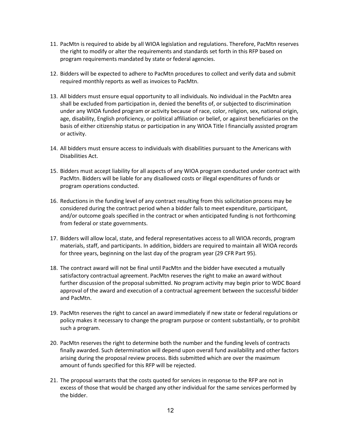- 11. PacMtn is required to abide by all WIOA legislation and regulations. Therefore, PacMtn reserves the right to modify or alter the requirements and standards set forth in this RFP based on program requirements mandated by state or federal agencies.
- 12. Bidders will be expected to adhere to PacMtn procedures to collect and verify data and submit required monthly reports as well as invoices to PacMtn.
- 13. All bidders must ensure equal opportunity to all individuals. No individual in the PacMtn area shall be excluded from participation in, denied the benefits of, or subjected to discrimination under any WIOA funded program or activity because of race, color, religion, sex, national origin, age, disability, English proficiency, or political affiliation or belief, or against beneficiaries on the basis of either citizenship status or participation in any WIOA Title I financially assisted program or activity.
- 14. All bidders must ensure access to individuals with disabilities pursuant to the Americans with Disabilities Act.
- 15. Bidders must accept liability for all aspects of any WIOA program conducted under contract with PacMtn. Bidders will be liable for any disallowed costs or illegal expenditures of funds or program operations conducted.
- 16. Reductions in the funding level of any contract resulting from this solicitation process may be considered during the contract period when a bidder fails to meet expenditure, participant, and/or outcome goals specified in the contract or when anticipated funding is not forthcoming from federal or state governments.
- 17. Bidders will allow local, state, and federal representatives access to all WIOA records, program materials, staff, and participants. In addition, bidders are required to maintain all WIOA records for three years, beginning on the last day of the program year (29 CFR Part 95).
- 18. The contract award will not be final until PacMtn and the bidder have executed a mutually satisfactory contractual agreement. PacMtn reserves the right to make an award without further discussion of the proposal submitted. No program activity may begin prior to WDC Board approval of the award and execution of a contractual agreement between the successful bidder and PacMtn.
- 19. PacMtn reserves the right to cancel an award immediately if new state or federal regulations or policy makes it necessary to change the program purpose or content substantially, or to prohibit such a program.
- 20. PacMtn reserves the right to determine both the number and the funding levels of contracts finally awarded. Such determination will depend upon overall fund availability and other factors arising during the proposal review process. Bids submitted which are over the maximum amount of funds specified for this RFP will be rejected.
- 21. The proposal warrants that the costs quoted for services in response to the RFP are not in excess of those that would be charged any other individual for the same services performed by the bidder.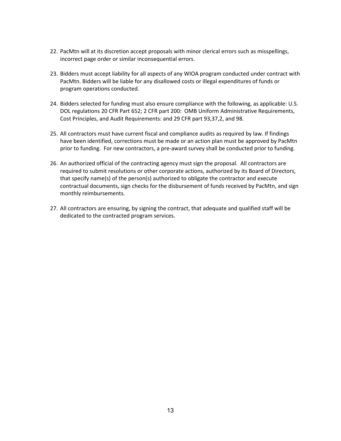- 22. PacMtn will at its discretion accept proposals with minor clerical errors such as misspellings, incorrect page order or similar inconsequential errors.
- 23. Bidders must accept liability for all aspects of any WIOA program conducted under contract with PacMtn. Bidders will be liable for any disallowed costs or illegal expenditures of funds or program operations conducted.
- 24. Bidders selected for funding must also ensure compliance with the following, as applicable: U.S. DOL regulations 20 CFR Part 652; 2 CFR part 200: OMB Uniform Administrative Requirements, Cost Principles, and Audit Requirements: and 29 CFR part 93,37,2, and 98.
- 25. All contractors must have current fiscal and compliance audits as required by law. If findings have been identified, corrections must be made or an action plan must be approved by PacMtn prior to funding. For new contractors, a pre-award survey shall be conducted prior to funding.
- 26. An authorized official of the contracting agency must sign the proposal. All contractors are required to submit resolutions or other corporate actions, authorized by its Board of Directors, that specify name(s) of the person(s) authorized to obligate the contractor and execute contractual documents, sign checks for the disbursement of funds received by PacMtn, and sign monthly reimbursements.
- 27. All contractors are ensuring, by signing the contract, that adequate and qualified staff will be dedicated to the contracted program services.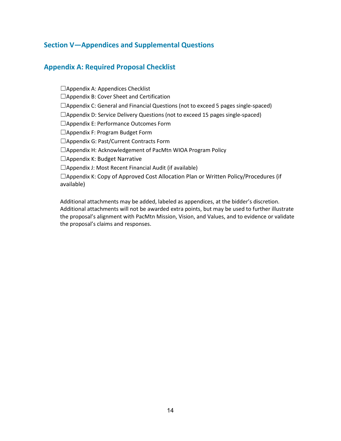# <span id="page-15-0"></span>**Section V—Appendices and Supplemental Questions**

# <span id="page-15-1"></span>**Appendix A: Required Proposal Checklist**

□Appendix A: Appendices Checklist

☐Appendix B: Cover Sheet and Certification

 $\Box$ Appendix C: General and Financial Questions (not to exceed 5 pages single-spaced)

□Appendix D: Service Delivery Questions (not to exceed 15 pages single-spaced)

☐Appendix E: Performance Outcomes Form

☐Appendix F: Program Budget Form

☐Appendix G: Past/Current Contracts Form

☐Appendix H: Acknowledgement of PacMtn WIOA Program Policy

□Appendix K: Budget Narrative

 $\Box$ Appendix J: Most Recent Financial Audit (if available)

 $\Box$ Appendix K: Copy of Approved Cost Allocation Plan or Written Policy/Procedures (if available)

Additional attachments may be added, labeled as appendices, at the bidder's discretion. Additional attachments will not be awarded extra points, but may be used to further illustrate the proposal's alignment with PacMtn Mission, Vision, and Values, and to evidence or validate the proposal's claims and responses.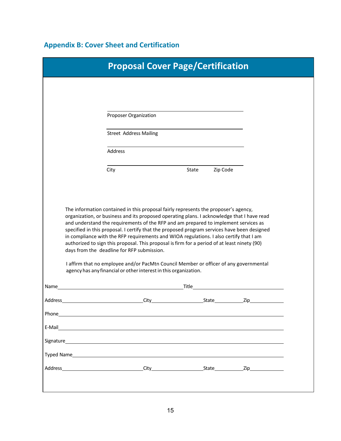# <span id="page-16-0"></span>**Appendix B: Cover Sheet and Certification**

|         |      | <b>Proposal Cover Page/Certification</b>                                                                                                                                                                                                                                                                                                                                                                                                                                                                                                                                                                                                                                              |       |          |                   |  |
|---------|------|---------------------------------------------------------------------------------------------------------------------------------------------------------------------------------------------------------------------------------------------------------------------------------------------------------------------------------------------------------------------------------------------------------------------------------------------------------------------------------------------------------------------------------------------------------------------------------------------------------------------------------------------------------------------------------------|-------|----------|-------------------|--|
|         |      |                                                                                                                                                                                                                                                                                                                                                                                                                                                                                                                                                                                                                                                                                       |       |          |                   |  |
|         |      | <b>Proposer Organization</b>                                                                                                                                                                                                                                                                                                                                                                                                                                                                                                                                                                                                                                                          |       |          |                   |  |
|         |      | <b>Street Address Mailing</b>                                                                                                                                                                                                                                                                                                                                                                                                                                                                                                                                                                                                                                                         |       |          |                   |  |
|         |      | Address                                                                                                                                                                                                                                                                                                                                                                                                                                                                                                                                                                                                                                                                               |       |          |                   |  |
|         | City |                                                                                                                                                                                                                                                                                                                                                                                                                                                                                                                                                                                                                                                                                       | State | Zip Code |                   |  |
|         |      |                                                                                                                                                                                                                                                                                                                                                                                                                                                                                                                                                                                                                                                                                       |       |          |                   |  |
|         |      | The information contained in this proposal fairly represents the proposer's agency,                                                                                                                                                                                                                                                                                                                                                                                                                                                                                                                                                                                                   |       |          |                   |  |
|         |      | organization, or business and its proposed operating plans. I acknowledge that I have read<br>and understand the requirements of the RFP and am prepared to implement services as<br>specified in this proposal. I certify that the proposed program services have been designed<br>in compliance with the RFP requirements and WIOA regulations. I also certify that I am<br>authorized to sign this proposal. This proposal is firm for a period of at least ninety (90)<br>days from the deadline for RFP submission.<br>I affirm that no employee and/or PacMtn Council Member or officer of any governmental<br>agency has any financial or other interest in this organization. |       |          |                   |  |
| Name    |      |                                                                                                                                                                                                                                                                                                                                                                                                                                                                                                                                                                                                                                                                                       |       |          |                   |  |
| Address |      | <u>City City State</u>                                                                                                                                                                                                                                                                                                                                                                                                                                                                                                                                                                                                                                                                |       |          | Zip <sub>ra</sub> |  |
|         |      |                                                                                                                                                                                                                                                                                                                                                                                                                                                                                                                                                                                                                                                                                       |       |          |                   |  |
| E-Mail  |      | <u> 1989 - John Stein, Amerikaansk politiker (</u>                                                                                                                                                                                                                                                                                                                                                                                                                                                                                                                                                                                                                                    |       |          |                   |  |
|         |      | Signature and the state of the state of the state of the state of the state of the state of the state of the state of the state of the state of the state of the state of the state of the state of the state of the state of                                                                                                                                                                                                                                                                                                                                                                                                                                                         |       |          |                   |  |
|         |      | <b>Typed Name Example 2008</b>                                                                                                                                                                                                                                                                                                                                                                                                                                                                                                                                                                                                                                                        |       |          |                   |  |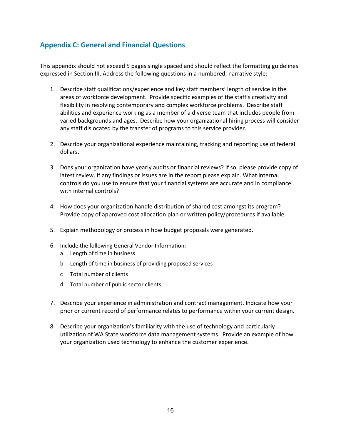# <span id="page-17-0"></span>**Appendix C: General and Financial Questions**

This appendix should not exceed 5 pages single spaced and should reflect the formatting guidelines expressed in Section III. Address the following questions in a numbered, narrative style:

- 1. Describe staff qualifications/experience and key staff members' length of service in the areas of workforce development. Provide specific examples of the staff's creativity and flexibility in resolving contemporary and complex workforce problems. Describe staff abilities and experience working as a member of a diverse team that includes people from varied backgrounds and ages. Describe how your organizational hiring process will consider any staff dislocated by the transfer of programs to this service provider.
- 2. Describe your organizational experience maintaining, tracking and reporting use of federal dollars.
- 3. Does your organization have yearly audits or financial reviews? If so, please provide copy of latest review. If any findings or issues are in the report please explain. What internal controls do you use to ensure that your financial systems are accurate and in compliance with internal controls?
- 4. How does your organization handle distribution of shared cost amongst its program? Provide copy of approved cost allocation plan or written policy/procedures if available.
- 5. Explain methodology or process in how budget proposals were generated.
- 6. Include the following General Vendor Information:
	- a Length of time in business
	- b Length of time in business of providing proposed services
	- c Total number of clients
	- d Total number of public sector clients
- 7. Describe your experience in administration and contract management. Indicate how your prior or current record of performance relates to performance within your current design.
- 8. Describe your organization's familiarity with the use of technology and particularly utilization of WA State workforce data management systems. Provide an example of how your organization used technology to enhance the customer experience.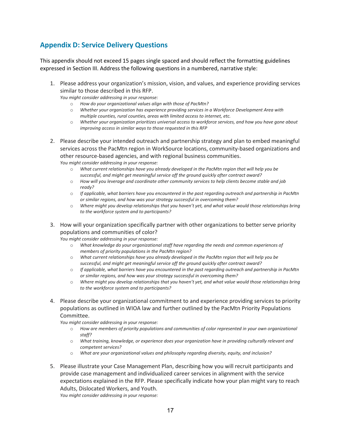# <span id="page-18-0"></span>**Appendix D: Service Delivery Questions**

This appendix should not exceed 15 pages single spaced and should reflect the formatting guidelines expressed in Section III. Address the following questions in a numbered, narrative style:

1. Please address your organization's mission, vision, and values, and experience providing services similar to those described in this RFP.

*You might consider addressing in your response:*

- o *How do your organizational values align with those of PacMtn?*
- o *Whether your organization has experience providing services in a Workforce Development Area with multiple counties, rural counties, areas with limited access to internet, etc.*
- o *Whether your organization prioritizes universal access to workforce services, and how you have gone about improving access in similar ways to those requested in this RFP*
- 2. Please describe your intended outreach and partnership strategy and plan to embed meaningful services across the PacMtn region in WorkSource locations, community-based organizations and other resource-based agencies, and with regional business communities. *You might consider addressing in your response:*
	- o *What current relationships have you already developed in the PacMtn region that will help you be successful, and might get meaningful service off the ground quickly after contract award?*
	- o *How will you leverage and coordinate other community services to help clients become stable and job ready?*
	- o *If applicable, what barriers have you encountered in the past regarding outreach and partnership in PacMtn or similar regions, and how was your strategy successful in overcoming them?*
	- o *Where might you develop relationships that you haven't yet, and what value would those relationships bring to the workforce system and to participants?*
- 3. How will your organization specifically partner with other organizations to better serve priority populations and communities of color?

*You might consider addressing in your response:*

- o *What knowledge do your organizational staff have regarding the needs and common experiences of members of priority populations in the PacMtn region?*
- o *What current relationships have you already developed in the PacMtn region that will help you be successful, and might get meaningful service off the ground quickly after contract award?*
- o *If applicable, what barriers have you encountered in the past regarding outreach and partnership in PacMtn or similar regions, and how was your strategy successful in overcoming them?*
- o *Where might you develop relationships that you haven't yet, and what value would those relationships bring to the workforce system and to participants?*
- 4. Please describe your organizational commitment to and experience providing services to priority populations as outlined in WIOA law and further outlined by the PacMtn Priority Populations Committee.

*You might consider addressing in your response:*

- o *How are members of priority populations and communities of color represented in your own organizational staff?*
- o *What training, knowledge, or experience does your organization have in providing culturally relevant and competent services?*
- o *What are your organizational values and philosophy regarding diversity, equity, and inclusion?*
- 5. Please illustrate your Case Management Plan, describing how you will recruit participants and provide case management and individualized career services in alignment with the service expectations explained in the RFP. Please specifically indicate how your plan might vary to reach Adults, Dislocated Workers, and Youth.

*You might consider addressing in your response:*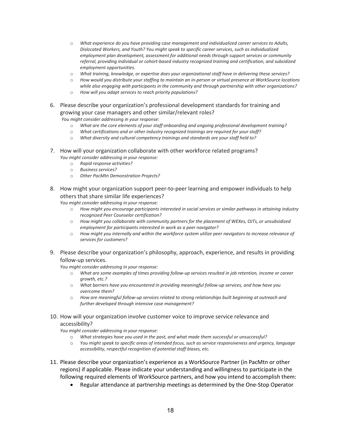- o *What experience do you have providing case management and individualized career services to Adults, Dislocated Workers, and Youth? You might speak to specific career services, such as individualized employment plan development, assessment for additional needs through support services or community referral, providing individual or cohort-based industry recognized training and certification, and subsidized employment opportunities.*
- o *What training, knowledge, or expertise does your organizational staff have in delivering these services?*
- o *How would you distribute your staffing to maintain an in-person or virtual presence at WorkSource locations while also engaging with participants in the community and through partnership with other organizations?*
- o *How will you adapt services to reach priority populations?*
- 6. Please describe your organization's professional development standards for training and growing your case managers and other similar/relevant roles? *You might consider addressing in your response:*
	- o *What are the core elements of your staff onboarding and ongoing professional development training?*
	- What certifications and or other industry recognized trainings are required for your staff?
	- o *What diversity and cultural competency trainings and standards are your staff held to?*
- 7. How will your organization collaborate with other workforce related programs? *You might consider addressing in your response:*
	- o *Rapid response activities?*
	- o *Business services?*
	- o *Other PacMtn Demonstration Projects?*
- 8. How might your organization support peer-to-peer learning and empower individuals to help others that share similar life experiences?

*You might consider addressing in your response:*

- o *How might you encourage participants interested in social services or similar pathways in attaining industry recognized Peer Counselor certification?*
- o *How might you collaborate with community partners for the placement of WEXes, OJTs, or unsubsidized employment for participants interested in work as a peer navigator?*
- o *How might you internally and within the workforce system utilize peer navigators to increase relevance of services for customers?*
- 9. Please describe your organization's philosophy, approach, experience, and results in providing follow-up services.

*You might consider addressing in your response:*

- o *What are some examples of times providing follow-up services resulted in job retention, income or career growth, etc.?*
- o *What barriers have you encountered in providing meaningful follow-up services, and how have you overcome them?*
- o *How are meaningful follow-up services related to strong relationships built beginning at outreach and further developed through intensive case management?*
- 10. How will your organization involve customer voice to improve service relevance and accessibility?
	- *You might consider addressing in your response:*
		- o *What strategies have you used in the past, and what made them successful or unsuccessful?*<br>O You might speak to specific greas of intended focus, such as service responsiveness and urger
		- You might speak to specific areas of intended focus, such as service responsiveness and urgency, language *accessibility, respectful recognition of potential staff biases, etc.*
- 11. Please describe your organization's experience as a WorkSource Partner (in PacMtn or other regions) if applicable. Please indicate your understanding and willingness to participate in the following required elements of WorkSource partners, and how you intend to accomplish them:
	- Regular attendance at partnership meetings as determined by the One-Stop Operator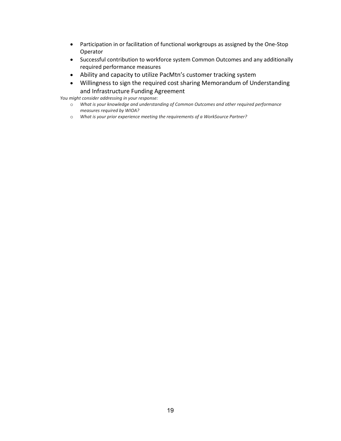- Participation in or facilitation of functional workgroups as assigned by the One-Stop Operator
- Successful contribution to workforce system Common Outcomes and any additionally required performance measures
- Ability and capacity to utilize PacMtn's customer tracking system
- Willingness to sign the required cost sharing Memorandum of Understanding and Infrastructure Funding Agreement

*You might consider addressing in your response:*

- o *What is your knowledge and understanding of Common Outcomes and other required performance measures required by WIOA?*
- o *What is your prior experience meeting the requirements of a WorkSource Partner?*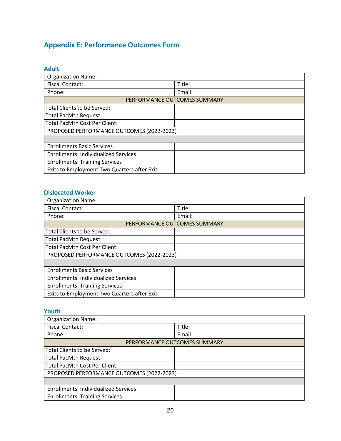# <span id="page-21-0"></span>**Appendix E: Performance Outcomes Form**

<span id="page-21-1"></span>

| <b>Adult</b>                                |                              |
|---------------------------------------------|------------------------------|
| <b>Organization Name:</b>                   |                              |
| <b>Fiscal Contact:</b>                      | Title:                       |
| Phone:                                      | Email:                       |
|                                             | PERFORMANCE OUTCOMES SUMMARY |
| Total Clients to be Served:                 |                              |
| <b>Total PacMtn Request:</b>                |                              |
| <b>Total PacMtn Cost Per Client:</b>        |                              |
| PROPOSED PERFORMANCE OUTCOMES (2022-2023)   |                              |
|                                             |                              |
| <b>Enrollments Basic Services</b>           |                              |
| <b>Enrollments: Individualized Services</b> |                              |
| <b>Enrollments: Training Services</b>       |                              |
| Exits to Employment Two Quarters after Exit |                              |

# <span id="page-21-2"></span>**Dislocated Worker**

| <b>Organization Name:</b>                   |                              |
|---------------------------------------------|------------------------------|
| <b>Fiscal Contact:</b>                      | Title:                       |
| Phone:                                      | Email:                       |
|                                             | PERFORMANCE OUTCOMES SUMMARY |
| Total Clients to be Served:                 |                              |
| Total PacMtn Request:                       |                              |
| <b>Total PacMtn Cost Per Client:</b>        |                              |
| PROPOSED PERFORMANCE OUTCOMES (2022-2023)   |                              |
|                                             |                              |
| <b>Enrollments Basic Services</b>           |                              |
| <b>Enrollments: Individualized Services</b> |                              |
| <b>Enrollments: Training Services</b>       |                              |
| Exits to Employment Two Quarters after Exit |                              |

### <span id="page-21-3"></span>**Youth**

| <b>Organization Name:</b>                   |        |  |  |
|---------------------------------------------|--------|--|--|
| <b>Fiscal Contact:</b>                      | Title: |  |  |
| Phone:                                      | Email: |  |  |
| PERFORMANCE OUTCOMES SUMMARY                |        |  |  |
| Total Clients to be Served:                 |        |  |  |
| Total PacMtn Request:                       |        |  |  |
| Total PacMtn Cost Per Client:               |        |  |  |
| PROPOSED PERFORMANCE OUTCOMES (2022-2023)   |        |  |  |
|                                             |        |  |  |
| <b>Enrollments: Individualized Services</b> |        |  |  |
| <b>Enrollments: Training Services</b>       |        |  |  |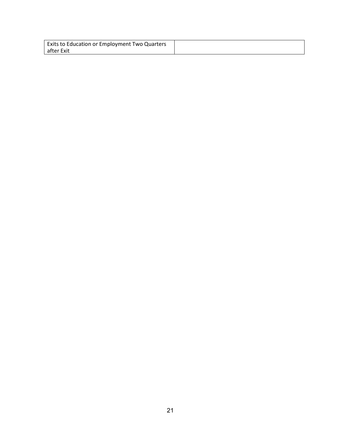| Exits to Education or Employment Two Quarters |  |
|-----------------------------------------------|--|
| after Exit                                    |  |

 $\overline{\phantom{a}}$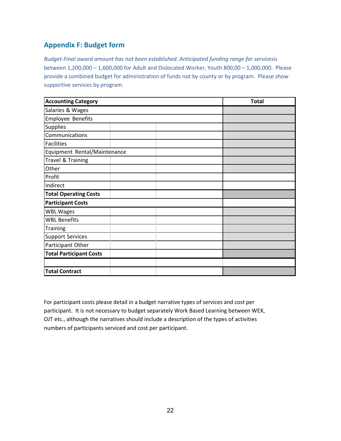# <span id="page-23-0"></span>**Appendix F: Budget form**

*Budget-Final award amount has not been established. Anticipated funding range for services*is between 1,200,000 – 1,600,000 for Adult and Dislocated Worker, Youth 800,00 – 1,000,000. Please provide a combined budget for administration of funds not by county or by program. Please show supportive services by program.

| <b>Accounting Category</b>     | <b>Total</b> |  |  |
|--------------------------------|--------------|--|--|
| Salaries & Wages               |              |  |  |
| <b>Employee Benefits</b>       |              |  |  |
| Supplies                       |              |  |  |
| Communications                 |              |  |  |
| <b>Facilities</b>              |              |  |  |
| Equipment Rental/Maintenance   |              |  |  |
| Travel & Training              |              |  |  |
| Other                          |              |  |  |
| Profit                         |              |  |  |
| Indirect                       |              |  |  |
| <b>Total Operating Costs</b>   |              |  |  |
| <b>Participant Costs</b>       |              |  |  |
| <b>WBL Wages</b>               |              |  |  |
| <b>WBL Benefits</b>            |              |  |  |
| Training                       |              |  |  |
| <b>Support Services</b>        |              |  |  |
| Participant Other              |              |  |  |
| <b>Total Participant Costs</b> |              |  |  |
|                                |              |  |  |
| <b>Total Contract</b>          |              |  |  |

For participant costs please detail in a budget narrative types of services and cost per participant. It is not necessary to budget separately Work Based Learning between WEX, OJT etc., although the narratives should include a description of the types of activities numbers of participants serviced and cost per participant.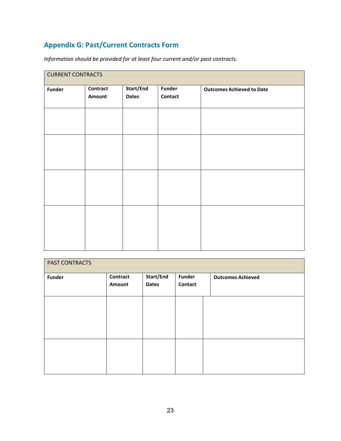# <span id="page-24-0"></span>**Appendix G: Past/Current Contracts Form**

*Information should be provided for at least four current and/or past contracts.*

| <b>CURRENT CONTRACTS</b> |          |              |               |                                  |  |
|--------------------------|----------|--------------|---------------|----------------------------------|--|
| <b>Funder</b>            | Contract | Start/End    | <b>Funder</b> | <b>Outcomes Achieved to Date</b> |  |
|                          | Amount   | <b>Dates</b> | Contact       |                                  |  |
|                          |          |              |               |                                  |  |
|                          |          |              |               |                                  |  |
|                          |          |              |               |                                  |  |
|                          |          |              |               |                                  |  |
|                          |          |              |               |                                  |  |
|                          |          |              |               |                                  |  |
|                          |          |              |               |                                  |  |
|                          |          |              |               |                                  |  |
|                          |          |              |               |                                  |  |
|                          |          |              |               |                                  |  |
|                          |          |              |               |                                  |  |
|                          |          |              |               |                                  |  |
|                          |          |              |               |                                  |  |
|                          |          |              |               |                                  |  |
|                          |          |              |               |                                  |  |
|                          |          |              |               |                                  |  |

| PAST CONTRACTS |                    |                           |                          |                          |
|----------------|--------------------|---------------------------|--------------------------|--------------------------|
| <b>Funder</b>  | Contract<br>Amount | Start/End<br><b>Dates</b> | <b>Funder</b><br>Contact | <b>Outcomes Achieved</b> |
|                |                    |                           |                          |                          |
|                |                    |                           |                          |                          |
|                |                    |                           |                          |                          |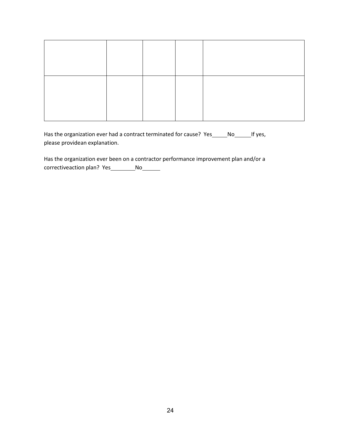Has the organization ever had a contract terminated for cause? Yes\_\_\_\_\_No\_\_\_\_\_\_\_If yes, please providean explanation.

Has the organization ever been on a contractor performance improvement plan and/or a correctiveaction plan? Yes \_\_\_\_\_\_\_\_\_ No\_\_\_\_\_\_\_